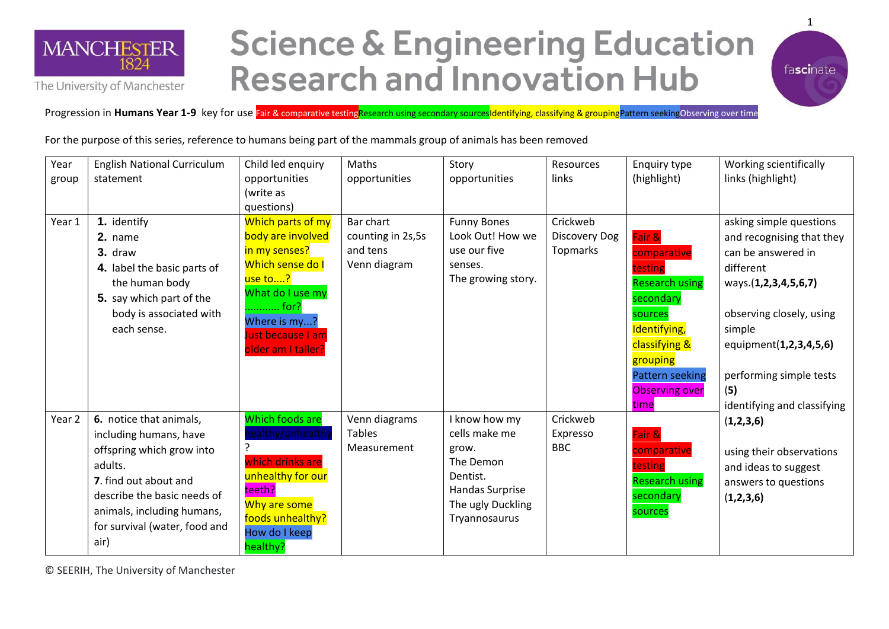

The University of Manchester

## **Science & Engineering Education Research and Innovation Hub**



Progression in **Humans Year 1-9** key for use Fair & comparative testingResearch using secondary sourcesIdentifying, classifying & groupingPattern seekingObserving over time

For the purpose of this series, reference to humans being part of the mammals group of animals has been removed

| Year<br>group | <b>English National Curriculum</b><br>statement                                                                                                                                                                          | Child led enquiry<br>opportunities<br>(write as<br>questions)                                                                                                                 | Maths<br>opportunities                                     | Story<br>opportunities                                                                                                    | Resources<br>links                           | Enquiry type<br>(highlight)                                                                                                                                                               | Working scientifically<br>links (highlight)                                                                                                                                                                                                      |
|---------------|--------------------------------------------------------------------------------------------------------------------------------------------------------------------------------------------------------------------------|-------------------------------------------------------------------------------------------------------------------------------------------------------------------------------|------------------------------------------------------------|---------------------------------------------------------------------------------------------------------------------------|----------------------------------------------|-------------------------------------------------------------------------------------------------------------------------------------------------------------------------------------------|--------------------------------------------------------------------------------------------------------------------------------------------------------------------------------------------------------------------------------------------------|
| Year 1        | 1. identify<br>2. name<br>3. draw<br>4. label the basic parts of<br>the human body<br>5. say which part of the<br>body is associated with<br>each sense.                                                                 | Which parts of my<br>body are involved<br>in my senses?<br>Which sense do I<br>use to?<br>What do I use my<br>for?<br>Where is my?<br>Just because I am<br>older am I taller? | Bar chart<br>counting in 2s,5s<br>and tens<br>Venn diagram | <b>Funny Bones</b><br>Look Out! How we<br>use our five<br>senses.<br>The growing story.                                   | Crickweb<br><b>Discovery Dog</b><br>Topmarks | Fair &<br>comparative<br>testing<br><b>Research using</b><br>secondary<br>sources<br>Identifying,<br>classifying &<br>grouping<br><b>Pattern seeking</b><br><b>Observing over</b><br>time | asking simple questions<br>and recognising that they<br>can be answered in<br>different<br>ways.(1,2,3,4,5,6,7)<br>observing closely, using<br>simple<br>equipment(1,2,3,4,5,6)<br>performing simple tests<br>(5)<br>identifying and classifying |
| Year 2        | 6. notice that animals,<br>including humans, have<br>offspring which grow into<br>adults.<br>7. find out about and<br>describe the basic needs of<br>animals, including humans,<br>for survival (water, food and<br>air) | Which foods are<br>ealthy/unhealth<br>which drinks are<br>unhealthy for our<br>teeth?<br>Why are some<br>foods unhealthy?<br>How do I keep<br>healthy?                        | Venn diagrams<br><b>Tables</b><br>Measurement              | I know how my<br>cells make me<br>grow.<br>The Demon<br>Dentist.<br>Handas Surprise<br>The ugly Duckling<br>Tryannosaurus | Crickweb<br>Expresso<br><b>BBC</b>           | Fair &<br>comparative<br>testing<br><b>Research using</b><br>secondary<br>sources                                                                                                         | (1,2,3,6)<br>using their observations<br>and ideas to suggest<br>answers to questions<br>(1,2,3,6)                                                                                                                                               |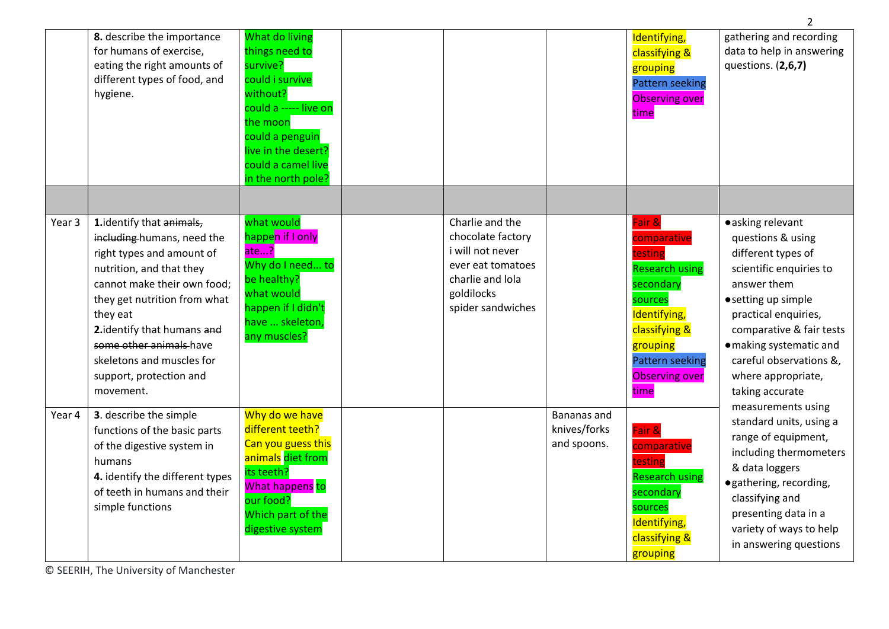|        | 8. describe the importance<br>for humans of exercise,<br>eating the right amounts of<br>different types of food, and<br>hygiene.                                                                                                                                                                                           | What do living<br>things need to<br>survive?<br>could i survive<br>without?<br>could a ----- live on<br>the moon<br>could a penguin<br>live in the desert?<br>could a camel live<br>in the north pole? |                                                                                                                                      |                                            | Identifying,<br>classifying &<br>grouping<br><b>Pattern seeking</b><br><b>Observing over</b><br>time                                                                                      | gathering and recording<br>data to help in answering<br>questions. (2,6,7)                                                                                                                                                                                                       |
|--------|----------------------------------------------------------------------------------------------------------------------------------------------------------------------------------------------------------------------------------------------------------------------------------------------------------------------------|--------------------------------------------------------------------------------------------------------------------------------------------------------------------------------------------------------|--------------------------------------------------------------------------------------------------------------------------------------|--------------------------------------------|-------------------------------------------------------------------------------------------------------------------------------------------------------------------------------------------|----------------------------------------------------------------------------------------------------------------------------------------------------------------------------------------------------------------------------------------------------------------------------------|
| Year 3 | 1. identify that animals,<br>including-humans, need the<br>right types and amount of<br>nutrition, and that they<br>cannot make their own food;<br>they get nutrition from what<br>they eat<br>2. identify that humans and<br>some other animals have<br>skeletons and muscles for<br>support, protection and<br>movement. | what would<br>happen if I only<br>ate $\ldots$ ?<br>Why do I need to<br>be healthy?<br>what would<br>happen if I didn't<br>have  skeleton,<br>any muscles?                                             | Charlie and the<br>chocolate factory<br>i will not never<br>ever eat tomatoes<br>charlie and lola<br>goldilocks<br>spider sandwiches |                                            | Fair &<br>comparative<br>testing<br><b>Research using</b><br>secondary<br>sources<br>Identifying,<br>classifying &<br>grouping<br><b>Pattern seeking</b><br><b>Observing over</b><br>time | • asking relevant<br>questions & using<br>different types of<br>scientific enquiries to<br>answer them<br>• setting up simple<br>practical enquiries,<br>comparative & fair tests<br>· making systematic and<br>careful observations &,<br>where appropriate,<br>taking accurate |
| Year 4 | 3. describe the simple<br>functions of the basic parts<br>of the digestive system in<br>humans<br>4. identify the different types<br>of teeth in humans and their<br>simple functions                                                                                                                                      | Why do we have<br>different teeth?<br>Can you guess this<br>animals diet from<br>its teeth?<br>What happens to<br>our food?<br>Which part of the<br>digestive system                                   |                                                                                                                                      | Bananas and<br>knives/forks<br>and spoons. | Fair &<br>comparative<br>testing<br><b>Research using</b><br>secondary<br>sources<br>Identifying,<br>classifying &<br>grouping                                                            | measurements using<br>standard units, using a<br>range of equipment,<br>including thermometers<br>& data loggers<br>· gathering, recording,<br>classifying and<br>presenting data in a<br>variety of ways to help<br>in answering questions                                      |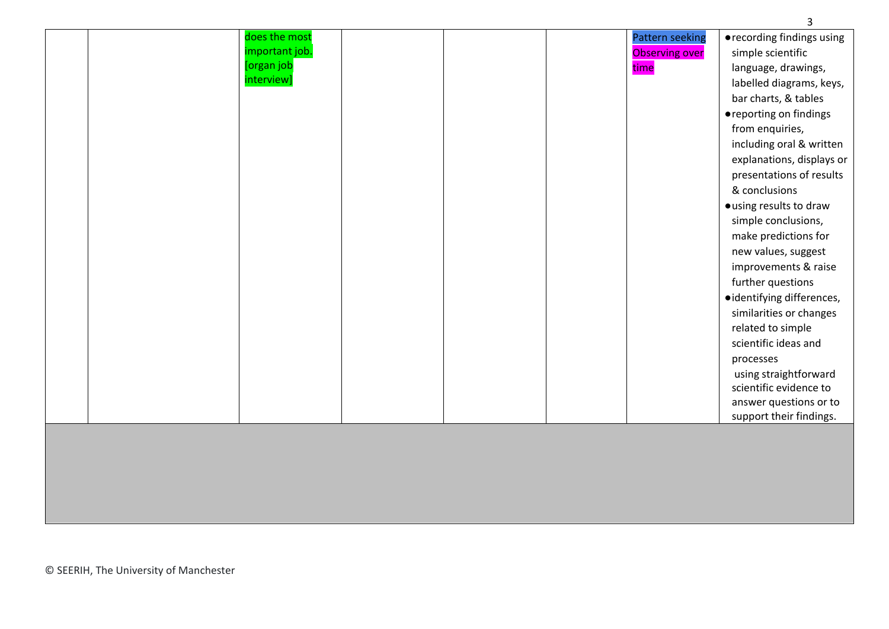| does the most<br>important job.<br>[organ job<br>interview] | <b>Pattern seeking</b><br><b>Observing over</b><br>time | • recording findings using<br>simple scientific<br>language, drawings,<br>labelled diagrams, keys,<br>bar charts, & tables<br>● reporting on findings<br>from enquiries,<br>including oral & written<br>explanations, displays or<br>presentations of results<br>& conclusions<br>· using results to draw<br>simple conclusions,<br>make predictions for<br>new values, suggest |
|-------------------------------------------------------------|---------------------------------------------------------|---------------------------------------------------------------------------------------------------------------------------------------------------------------------------------------------------------------------------------------------------------------------------------------------------------------------------------------------------------------------------------|
|                                                             |                                                         |                                                                                                                                                                                                                                                                                                                                                                                 |
|                                                             |                                                         |                                                                                                                                                                                                                                                                                                                                                                                 |
|                                                             |                                                         |                                                                                                                                                                                                                                                                                                                                                                                 |
|                                                             |                                                         |                                                                                                                                                                                                                                                                                                                                                                                 |
|                                                             |                                                         |                                                                                                                                                                                                                                                                                                                                                                                 |
|                                                             |                                                         |                                                                                                                                                                                                                                                                                                                                                                                 |
|                                                             |                                                         |                                                                                                                                                                                                                                                                                                                                                                                 |
|                                                             |                                                         | improvements & raise                                                                                                                                                                                                                                                                                                                                                            |
|                                                             |                                                         | further questions                                                                                                                                                                                                                                                                                                                                                               |
|                                                             |                                                         | ·identifying differences,                                                                                                                                                                                                                                                                                                                                                       |
|                                                             |                                                         | similarities or changes                                                                                                                                                                                                                                                                                                                                                         |
|                                                             |                                                         | related to simple                                                                                                                                                                                                                                                                                                                                                               |
|                                                             |                                                         | scientific ideas and<br>processes                                                                                                                                                                                                                                                                                                                                               |
|                                                             |                                                         | using straightforward<br>scientific evidence to                                                                                                                                                                                                                                                                                                                                 |
|                                                             |                                                         | answer questions or to                                                                                                                                                                                                                                                                                                                                                          |
|                                                             |                                                         | support their findings.                                                                                                                                                                                                                                                                                                                                                         |
|                                                             |                                                         |                                                                                                                                                                                                                                                                                                                                                                                 |
|                                                             |                                                         |                                                                                                                                                                                                                                                                                                                                                                                 |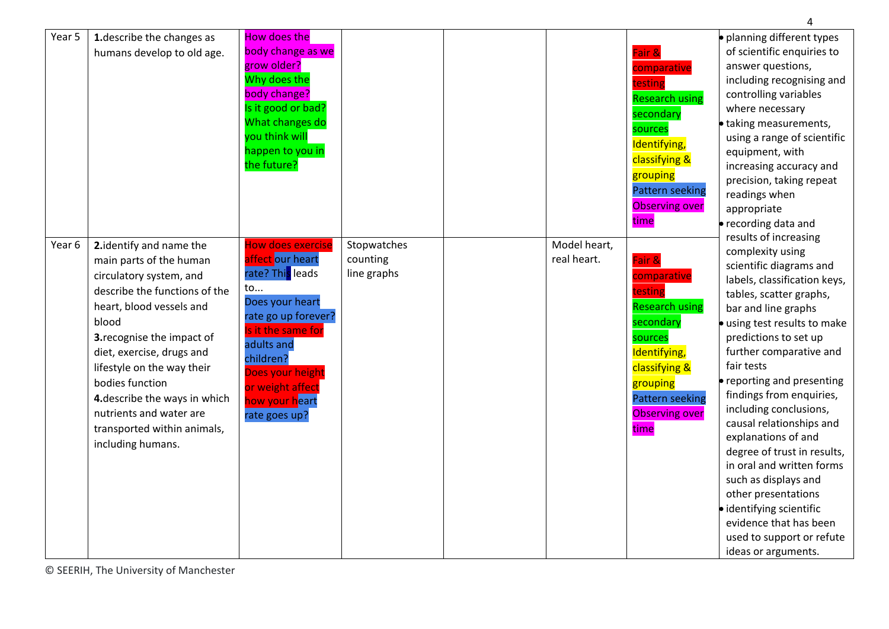| Year 5 | 1. describe the changes as<br>humans develop to old age.                                                                                                                                                                                                                                                                                                                         | How does the<br>body change as we<br>grow older?<br>Why does the<br>body change?<br>Is it good or bad?<br>What changes do<br>you think will<br>happen to you in<br>the future?                                                               |                                        |                             | Fair &<br>comparative<br>testing<br><b>Research using</b><br>secondary<br>sources<br>Identifying,<br>classifying &<br>grouping<br><b>Pattern seeking</b><br><b>Observing over</b><br>time | · planning different types<br>of scientific enquiries to<br>answer questions,<br>including recognising and<br>controlling variables<br>where necessary<br>· taking measurements,<br>using a range of scientific<br>equipment, with<br>increasing accuracy and<br>precision, taking repeat<br>readings when<br>appropriate<br>• recording data and<br>results of increasing                                                                                                                                                                                                                |
|--------|----------------------------------------------------------------------------------------------------------------------------------------------------------------------------------------------------------------------------------------------------------------------------------------------------------------------------------------------------------------------------------|----------------------------------------------------------------------------------------------------------------------------------------------------------------------------------------------------------------------------------------------|----------------------------------------|-----------------------------|-------------------------------------------------------------------------------------------------------------------------------------------------------------------------------------------|-------------------------------------------------------------------------------------------------------------------------------------------------------------------------------------------------------------------------------------------------------------------------------------------------------------------------------------------------------------------------------------------------------------------------------------------------------------------------------------------------------------------------------------------------------------------------------------------|
| Year 6 | 2. identify and name the<br>main parts of the human<br>circulatory system, and<br>describe the functions of the<br>heart, blood vessels and<br>blood<br>3. recognise the impact of<br>diet, exercise, drugs and<br>lifestyle on the way their<br>bodies function<br>4. describe the ways in which<br>nutrients and water are<br>transported within animals,<br>including humans. | <b>How does exercise</b><br>affect our heart<br>rate? This leads<br>to<br>Does your heart<br>rate go up forever?<br>Is it the same for<br>adults and<br>children?<br>Does your height<br>or weight affect<br>how your heart<br>rate goes up? | Stopwatches<br>counting<br>line graphs | Model heart,<br>real heart. | Fair &<br>comparative<br>testing<br><b>Research using</b><br>secondary<br>sources<br>Identifying,<br>classifying &<br>grouping<br><b>Pattern seeking</b><br><b>Observing over</b><br>time | complexity using<br>scientific diagrams and<br>labels, classification keys,<br>tables, scatter graphs,<br>bar and line graphs<br>· using test results to make<br>predictions to set up<br>further comparative and<br>fair tests<br>reporting and presenting<br>findings from enquiries,<br>including conclusions,<br>causal relationships and<br>explanations of and<br>degree of trust in results,<br>in oral and written forms<br>such as displays and<br>other presentations<br>· identifying scientific<br>evidence that has been<br>used to support or refute<br>ideas or arguments. |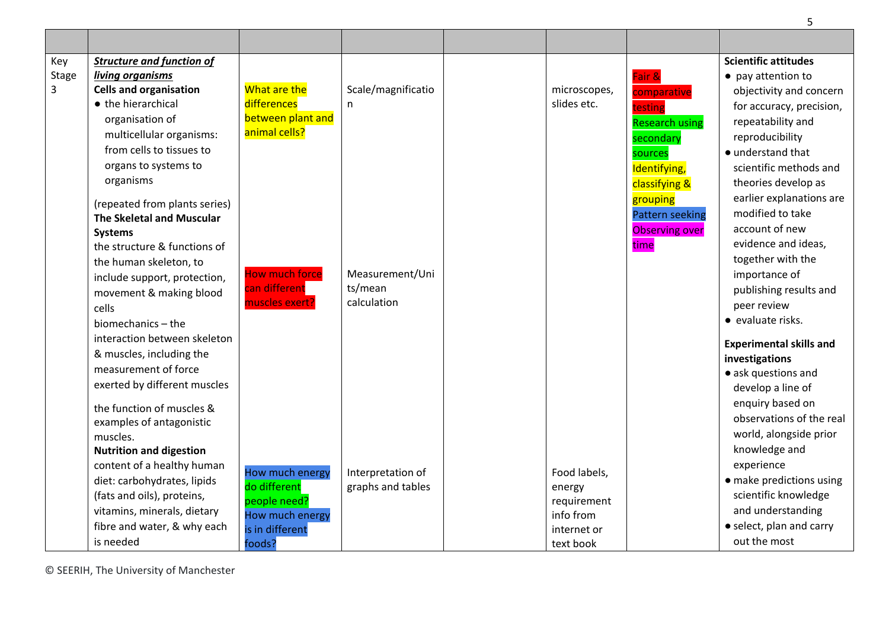| Key<br><b>Stage</b><br>3 | <b>Structure and function of</b><br>living organisms<br><b>Cells and organisation</b><br>• the hierarchical<br>organisation of<br>multicellular organisms:<br>from cells to tissues to<br>organs to systems to<br>organisms<br>(repeated from plants series)<br>The Skeletal and Muscular<br><b>Systems</b> | What are the<br>differences<br>between plant and<br>animal cells?                               | Scale/magnificatio<br>n.                  | microscopes,<br>slides etc.                                                    | Fair &<br>comparative<br>testing<br><b>Research using</b><br>secondary<br>sources<br>Identifying,<br>classifying &<br>grouping<br><b>Pattern seeking</b><br><b>Observing over</b> | <b>Scientific attitudes</b><br>• pay attention to<br>objectivity and concern<br>for accuracy, precision,<br>repeatability and<br>reproducibility<br>• understand that<br>scientific methods and<br>theories develop as<br>earlier explanations are<br>modified to take<br>account of new |
|--------------------------|-------------------------------------------------------------------------------------------------------------------------------------------------------------------------------------------------------------------------------------------------------------------------------------------------------------|-------------------------------------------------------------------------------------------------|-------------------------------------------|--------------------------------------------------------------------------------|-----------------------------------------------------------------------------------------------------------------------------------------------------------------------------------|------------------------------------------------------------------------------------------------------------------------------------------------------------------------------------------------------------------------------------------------------------------------------------------|
|                          | the structure & functions of<br>the human skeleton, to<br>include support, protection,<br>movement & making blood<br>cells<br>biomechanics - the<br>interaction between skeleton<br>& muscles, including the<br>measurement of force<br>exerted by different muscles                                        | How much force<br>can different<br>muscles exert?                                               | Measurement/Uni<br>ts/mean<br>calculation |                                                                                | time                                                                                                                                                                              | evidence and ideas,<br>together with the<br>importance of<br>publishing results and<br>peer review<br>• evaluate risks.<br><b>Experimental skills and</b><br>investigations<br>• ask questions and<br>develop a line of                                                                  |
|                          | the function of muscles &<br>examples of antagonistic<br>muscles.<br><b>Nutrition and digestion</b><br>content of a healthy human<br>diet: carbohydrates, lipids<br>(fats and oils), proteins,<br>vitamins, minerals, dietary<br>fibre and water, & why each<br>is needed                                   | How much energy<br>do different<br>people need?<br>How much energy<br>is in different<br>foods? | Interpretation of<br>graphs and tables    | Food labels,<br>energy<br>requirement<br>info from<br>internet or<br>text book |                                                                                                                                                                                   | enquiry based on<br>observations of the real<br>world, alongside prior<br>knowledge and<br>experience<br>• make predictions using<br>scientific knowledge<br>and understanding<br>• select, plan and carry<br>out the most                                                               |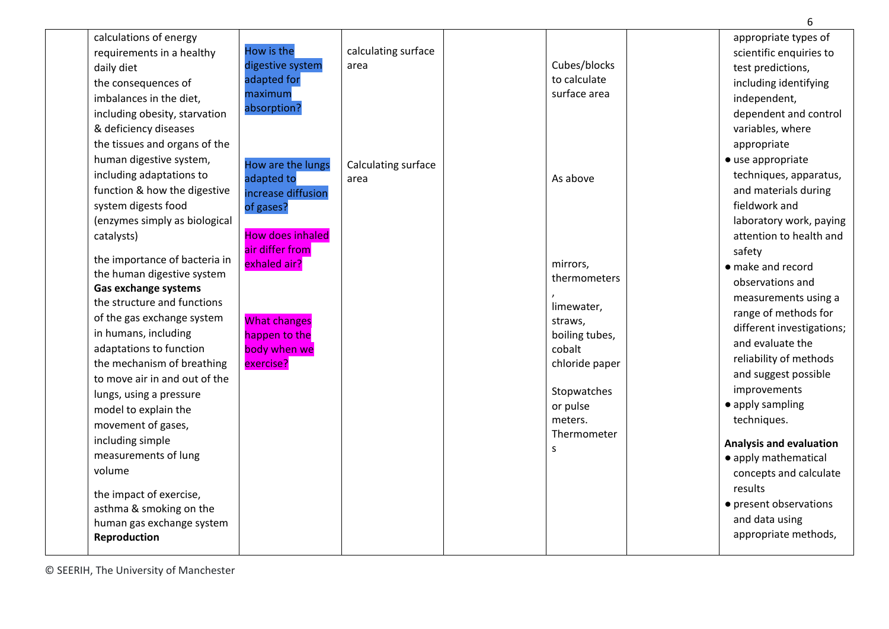| calculations of energy        |                         |                     |                | appropriate types of           |
|-------------------------------|-------------------------|---------------------|----------------|--------------------------------|
| requirements in a healthy     | How is the              | calculating surface |                | scientific enquiries to        |
| daily diet                    | digestive system        | area                | Cubes/blocks   | test predictions,              |
| the consequences of           | adapted for             |                     | to calculate   | including identifying          |
| imbalances in the diet,       | maximum                 |                     | surface area   | independent,                   |
| including obesity, starvation | absorption?             |                     |                | dependent and control          |
| & deficiency diseases         |                         |                     |                | variables, where               |
| the tissues and organs of the |                         |                     |                | appropriate                    |
| human digestive system,       | How are the lungs       | Calculating surface |                | • use appropriate              |
| including adaptations to      | adapted to              | area                | As above       | techniques, apparatus,         |
| function & how the digestive  | increase diffusion      |                     |                | and materials during           |
| system digests food           | of gases?               |                     |                | fieldwork and                  |
| (enzymes simply as biological |                         |                     |                | laboratory work, paying        |
| catalysts)                    | <b>How does inhaled</b> |                     |                | attention to health and        |
|                               | air differ from         |                     |                | safety                         |
| the importance of bacteria in | exhaled air?            |                     | mirrors,       | • make and record              |
| the human digestive system    |                         |                     | thermometers   | observations and               |
| <b>Gas exchange systems</b>   |                         |                     |                | measurements using a           |
| the structure and functions   |                         |                     | limewater,     | range of methods for           |
| of the gas exchange system    | <b>What changes</b>     |                     | straws,        | different investigations;      |
| in humans, including          | happen to the           |                     | boiling tubes, | and evaluate the               |
| adaptations to function       | body when we            |                     | cobalt         |                                |
| the mechanism of breathing    | exercise?               |                     | chloride paper | reliability of methods         |
| to move air in and out of the |                         |                     |                | and suggest possible           |
| lungs, using a pressure       |                         |                     | Stopwatches    | improvements                   |
| model to explain the          |                         |                     | or pulse       | • apply sampling               |
| movement of gases,            |                         |                     | meters.        | techniques.                    |
| including simple              |                         |                     | Thermometer    | <b>Analysis and evaluation</b> |
| measurements of lung          |                         |                     | S              | • apply mathematical           |
| volume                        |                         |                     |                | concepts and calculate         |
|                               |                         |                     |                | results                        |
| the impact of exercise,       |                         |                     |                | • present observations         |
| asthma & smoking on the       |                         |                     |                | and data using                 |
| human gas exchange system     |                         |                     |                | appropriate methods,           |
| Reproduction                  |                         |                     |                |                                |